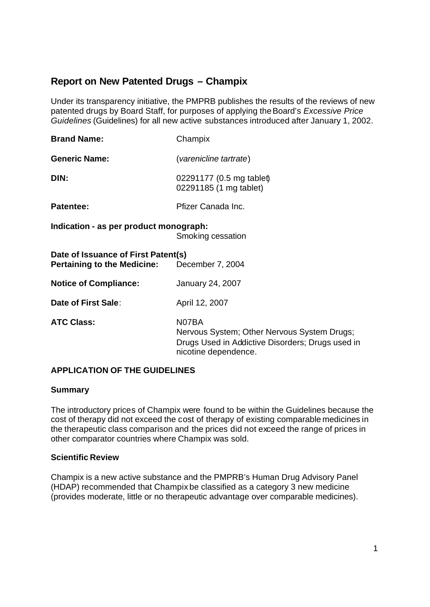# **Report on New Patented Drugs – Champix**

Under its transparency initiative, the PMPRB publishes the results of the reviews of new patented drugs by Board Staff, for purposes of applying the Board's *Excessive Price Guidelines* (Guidelines) for all new active substances introduced after January 1, 2002.

| <b>Brand Name:</b>                                                                         | Champix                                            |  |  |  |
|--------------------------------------------------------------------------------------------|----------------------------------------------------|--|--|--|
| <b>Generic Name:</b>                                                                       | (varenicline tartrate)                             |  |  |  |
| DIN:                                                                                       | 02291177 (0.5 mg tablet)<br>02291185 (1 mg tablet) |  |  |  |
| <b>Patentee:</b>                                                                           | Pfizer Canada Inc.                                 |  |  |  |
| Indication - as per product monograph:<br>Smoking cessation                                |                                                    |  |  |  |
| Date of Issuance of First Patent(s)<br><b>Pertaining to the Medicine:</b> December 7, 2004 |                                                    |  |  |  |
| <b>Notice of Compliance:</b>                                                               | <b>January 24, 2007</b>                            |  |  |  |
| Date of First Sale:                                                                        | April 12, 2007                                     |  |  |  |

**ATC Class:** N07BA Nervous System; Other Nervous System Drugs; Drugs Used in Addictive Disorders; Drugs used in nicotine dependence.

### **APPLICATION OF THE GUIDELINES**

### **Summary**

The introductory prices of Champix were found to be within the Guidelines because the cost of therapy did not exceed the cost of therapy of existing comparable medicines in the therapeutic class comparison and the prices did not exceed the range of prices in other comparator countries where Champix was sold.

### **Scientific Review**

Champix is a new active substance and the PMPRB's Human Drug Advisory Panel (HDAP) recommended that Champix be classified as a category 3 new medicine (provides moderate, little or no therapeutic advantage over comparable medicines).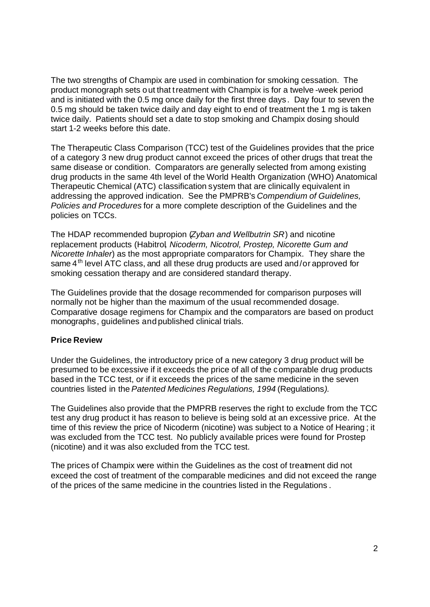The two strengths of Champix are used in combination for smoking cessation. The product monograph sets out that treatment with Champix is for a twelve -week period and is initiated with the 0.5 mg once daily for the first three days . Day four to seven the 0.5 mg should be taken twice daily and day eight to end of treatment the 1 mg is taken twice daily. Patients should set a date to stop smoking and Champix dosing should start 1-2 weeks before this date.

The Therapeutic Class Comparison (TCC) test of the Guidelines provides that the price of a category 3 new drug product cannot exceed the prices of other drugs that treat the same disease or condition. Comparators are generally selected from among existing drug products in the same 4th level of the World Health Organization (WHO) Anatomical Therapeutic Chemical (ATC) classification system that are clinically equivalent in addressing the approved indication. See the PMPRB's *Compendium of Guidelines, Policies and Procedures* for a more complete description of the Guidelines and the policies on TCCs.

The HDAP recommended bupropion (*Zyban and Wellbutrin SR*) and nicotine replacement products (Habitrol*, Nicoderm, Nicotrol, Prostep, Nicorette Gum and Nicorette Inhaler*) as the most appropriate comparators for Champix. They share the same  $4<sup>th</sup>$  level ATC class, and all these drug products are used and/or approved for smoking cessation therapy and are considered standard therapy.

The Guidelines provide that the dosage recommended for comparison purposes will normally not be higher than the maximum of the usual recommended dosage. Comparative dosage regimens for Champix and the comparators are based on product monographs, guidelines and published clinical trials.

### **Price Review**

Under the Guidelines, the introductory price of a new category 3 drug product will be presumed to be excessive if it exceeds the price of all of the comparable drug products based in the TCC test, or if it exceeds the prices of the same medicine in the seven countries listed in the *Patented Medicines Regulations, 1994* (Regulations*).*

The Guidelines also provide that the PMPRB reserves the right to exclude from the TCC test any drug product it has reason to believe is being sold at an excessive price. At the time of this review the price of Nicoderm (nicotine) was subject to a Notice of Hearing ; it was excluded from the TCC test. No publicly available prices were found for Prostep (nicotine) and it was also excluded from the TCC test.

The prices of Champix were within the Guidelines as the cost of treatment did not exceed the cost of treatment of the comparable medicines and did not exceed the range of the prices of the same medicine in the countries listed in the Regulations .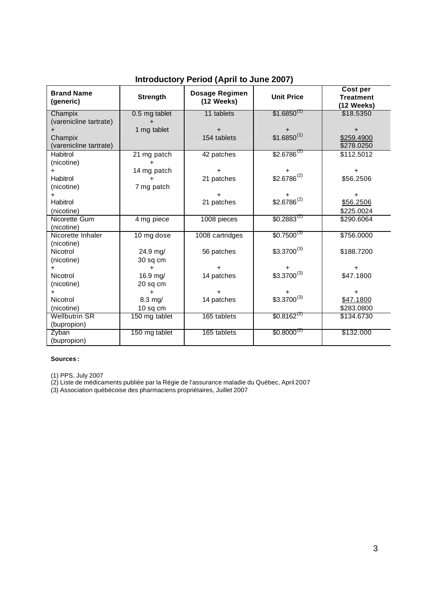| <b>Brand Name</b><br>(generic) | <b>Strength</b> | Dosage Regimen<br>(12 Weeks) | <b>Unit Price</b> | <b>Cost per</b><br><b>Treatment</b> |
|--------------------------------|-----------------|------------------------------|-------------------|-------------------------------------|
|                                |                 |                              |                   | (12 Weeks)                          |
| Champix                        | 0.5 mg tablet   | 11 tablets                   | $$1.6850^{(1)}$   | \$18,5350                           |
| (varenicline tartrate)         |                 |                              |                   |                                     |
|                                | 1 mg tablet     | $\ddot{}$                    |                   |                                     |
| Champix                        |                 | 154 tablets                  | $$1.6850^{(1)}$   | \$259.4900                          |
| (varenicline tartrate)         |                 |                              |                   | \$278.0250                          |
| Habitrol                       | 21 mg patch     | 42 patches                   | $$2.6786^{(2)}$   | \$112.5012                          |
| (nicotine)                     |                 |                              |                   |                                     |
| $\ddot{}$                      | 14 mg patch     | ÷                            | $+$               | $+$                                 |
| Habitrol                       |                 | 21 patches                   | $$2.6786^{(2)}$   | \$56.2506                           |
| (nicotine)                     | 7 mg patch      |                              |                   |                                     |
| $\pm$                          |                 |                              |                   | $\pm$                               |
| Habitrol                       |                 | 21 patches                   | $$2.6786^{(2)}$   | \$56.2506                           |
| (nicotine)                     |                 |                              |                   | \$225.0024                          |
| Nicorette Gum                  | 4 mg piece      | 1008 pieces                  | $$0.2883^{(2)}$$  | \$290.6064                          |
| (nicotine)                     |                 |                              |                   |                                     |
| Nicorette Inhaler              | 10 mg dose      | 1008 cartridges              | $$0.7500^{(3)}$$  | \$756.0000                          |
| (nicotine)                     |                 |                              |                   |                                     |
| Nicotrol                       | 24.9 mg/        | 56 patches                   | $$3.3700^{(3)}$   | \$188.7200                          |
| (nicotine)                     | 30 sq cm        |                              |                   |                                     |
| $\ddot{}$                      | $\ddot{}$       | $\ddot{}$                    |                   | $\pm$                               |
| Nicotrol                       | 16.9 mg/        | 14 patches                   | $$3.3700^{(3)}$   | \$47.1800                           |
| (nicotine)                     | 20 sq cm        |                              |                   |                                     |
| $\ddot{}$                      | $\pm$           | +                            |                   | +                                   |
| Nicotrol                       | $8.3$ mg/       | 14 patches                   | $$3.3700^{(3)}$   | \$47.1800                           |
| (nicotine)                     | $10$ sq cm      |                              |                   | \$283.0800                          |
| <b>Wellbutrin SR</b>           | 150 mg tablet   | 165 tablets                  | $$0.8162^{(2)}$$  | \$134.6730                          |
| (bupropion)                    |                 |                              |                   |                                     |
| Zyban                          | 150 mg tablet   | 165 tablets                  | $$0.8000^{(2)}$$  | \$132.000                           |
| (bupropion)                    |                 |                              |                   |                                     |

## **Introductory Period (April to June 2007)**

#### **Sources :**

(1) PPS, July 2007

(2) Liste de médicaments publiée par la Régie de l'assurance maladie du Québec, April 2007

(3) Association québécoise des pharmaciens propriétaires, Juillet 2007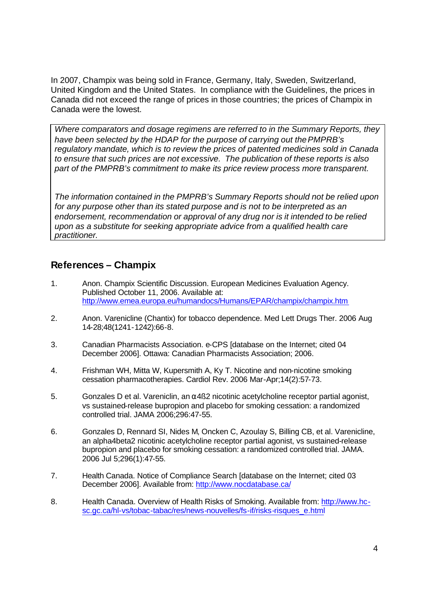In 2007, Champix was being sold in France, Germany, Italy, Sweden, Switzerland, United Kingdom and the United States. In compliance with the Guidelines, the prices in Canada did not exceed the range of prices in those countries; the prices of Champix in Canada were the lowest.

*Where comparators and dosage regimens are referred to in the Summary Reports, they have been selected by the HDAP for the purpose of carrying out the PMPRB's regulatory mandate, which is to review the prices of patented medicines sold in Canada to ensure that such prices are not excessive. The publication of these reports is also part of the PMPRB's commitment to make its price review process more transparent.*

*The information contained in the PMPRB's Summary Reports should not be relied upon for any purpose other than its stated purpose and is not to be interpreted as an endorsement, recommendation or approval of any drug nor is it intended to be relied upon as a substitute for seeking appropriate advice from a qualified health care practitioner.*

# **References – Champix**

- 1. Anon. Champix Scientific Discussion. European Medicines Evaluation Agency. Published October 11, 2006. Available at: http://www.emea.europa.eu/humandocs/Humans/EPAR/champix/champix.htm
- 2. Anon. Varenicline (Chantix) for tobacco dependence. Med Lett Drugs Ther. 2006 Aug 14-28;48(1241-1242):66-8.
- 3. Canadian Pharmacists Association. e-CPS [database on the Internet; cited 04 December 2006]. Ottawa: Canadian Pharmacists Association; 2006.
- 4. Frishman WH, Mitta W, Kupersmith A, Ky T. Nicotine and non-nicotine smoking cessation pharmacotherapies. Cardiol Rev. 2006 Mar-Apr;14(2):57-73.
- 5. Gonzales D et al. Vareniclin, an  $\alpha$ 4ß2 nicotinic acetylcholine receptor partial agonist, vs sustained-release bupropion and placebo for smoking cessation: a randomized controlled trial. JAMA 2006;296:47-55.
- 6. Gonzales D, Rennard SI, Nides M, Oncken C, Azoulay S, Billing CB, et al. Varenicline, an alpha4beta2 nicotinic acetylcholine receptor partial agonist, vs sustained-release bupropion and placebo for smoking cessation: a randomized controlled trial. JAMA. 2006 Jul 5;296(1):47-55.
- 7. Health Canada. Notice of Compliance Search [database on the Internet; cited 03 December 2006]. Available from: http://www.nocdatabase.ca/
- 8. Health Canada. Overview of Health Risks of Smoking. Available from: http://www.hcsc.gc.ca/hl-vs/tobac-tabac/res/news-nouvelles/fs-if/risks-risques\_e.html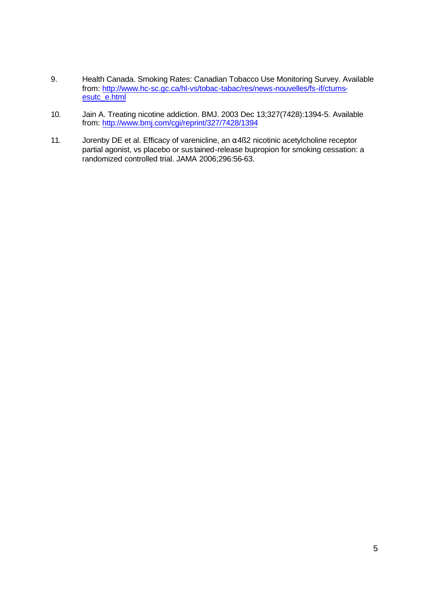- 9. Health Canada. Smoking Rates: Canadian Tobacco Use Monitoring Survey. Available from: http://www.hc-sc.gc.ca/hl-vs/tobac-tabac/res/news-nouvelles/fs-if/ctumsesutc\_e.html
- 10. Jain A. Treating nicotine addiction. BMJ. 2003 Dec 13;327(7428):1394-5. Available from: http://www.bmj.com/cgi/reprint/327/7428/1394
- 11. Jorenby DE et al. Efficacy of varenicline, an  $\alpha$ 4ß2 nicotinic acetylcholine receptor partial agonist, vs placebo or sustained-release bupropion for smoking cessation: a randomized controlled trial. JAMA 2006;296:56-63.